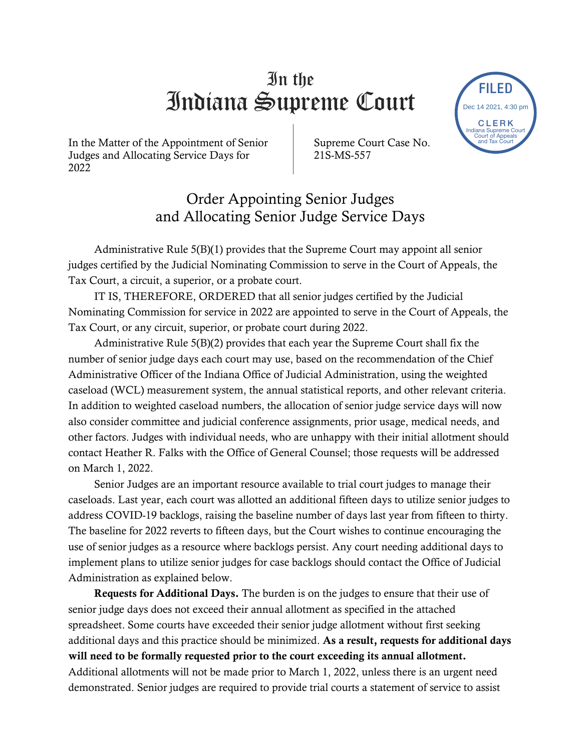## In the Indiana Supreme Court

In the Matter of the Appointment of Senior Judges and Allocating Service Days for 2022

Supreme Court Case No. 21S-MS-557

Order Appointing Senior Judges and Allocating Senior Judge Service Days

Administrative Rule 5(B)(1) provides that the Supreme Court may appoint all senior judges certified by the Judicial Nominating Commission to serve in the Court of Appeals, the Tax Court, a circuit, a superior, or a probate court.

IT IS, THEREFORE, ORDERED that all senior judges certified by the Judicial Nominating Commission for service in 2022 are appointed to serve in the Court of Appeals, the Tax Court, or any circuit, superior, or probate court during 2022.

Administrative Rule 5(B)(2) provides that each year the Supreme Court shall fix the number of senior judge days each court may use, based on the recommendation of the Chief Administrative Officer of the Indiana Office of Judicial Administration, using the weighted caseload (WCL) measurement system, the annual statistical reports, and other relevant criteria. In addition to weighted caseload numbers, the allocation of senior judge service days will now also consider committee and judicial conference assignments, prior usage, medical needs, and other factors. Judges with individual needs, who are unhappy with their initial allotment should contact Heather R. Falks with the Office of General Counsel; those requests will be addressed on March 1, 2022. **EXECUTE:**<br>
The Matter of the Appointment of Schotz Suppreme COUTTER COURTED and Allocating Service Days for Suppreme Court Case No. The ELET of the Suppreme Court of Suppreme Courts and Allocating Service Days for Suppre

Senior Judges are an important resource available to trial court judges to manage their caseloads. Last year, each court was allotted an additional fifteen days to utilize senior judges to address COVID-19 backlogs, raising the baseline number of days last year from fifteen to thirty. The baseline for 2022 reverts to fifteen days, but the Court wishes to continue encouraging the use of senior judges as a resource where backlogs persist. Any court needing additional days to implement plans to utilize senior judges for case backlogs should contact the Office of Judicial Administration as explained below.

Requests for Additional Days. The burden is on the judges to ensure that their use of senior judge days does not exceed their annual allotment as specified in the attached spreadsheet. Some courts have exceeded their senior judge allotment without first seeking additional days and this practice should be minimized. As a result, requests for additional days will need to be formally requested prior to the court exceeding its annual allotment. Additional allotments will not be made prior to March 1, 2022, unless there is an urgent need

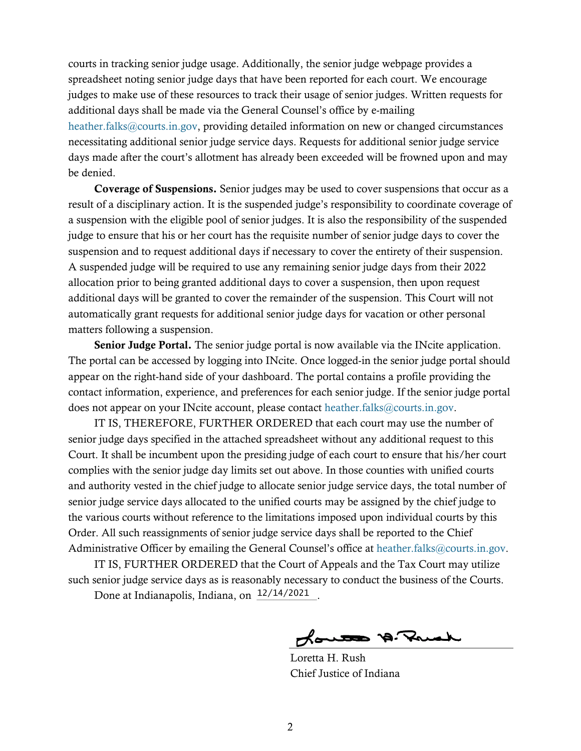courts in tracking senior judge usage. Additionally, the senior judge webpage provides a spreadsheet noting senior judge days that have been reported for each court. We encourage judges to make use of these resources to track their usage of senior judges. Written requests for additional days shall be made via the General Counsel's office by e-mailing [heather.falks@courts.in.gov,](mailto:heather.falks@courts.in.gov) providing detailed information on new or changed circumstances necessitating additional senior judge service days. Requests for additional senior judge service days made after the court's allotment has already been exceeded will be frowned upon and may be denied.

Coverage of Suspensions. Senior judges may be used to cover suspensions that occur as a result of a disciplinary action. It is the suspended judge's responsibility to coordinate coverage of a suspension with the eligible pool of senior judges. It is also the responsibility of the suspended judge to ensure that his or her court has the requisite number of senior judge days to cover the suspension and to request additional days if necessary to cover the entirety of their suspension. A suspended judge will be required to use any remaining senior judge days from their 2022 allocation prior to being granted additional days to cover a suspension, then upon request additional days will be granted to cover the remainder of the suspension. This Court will not automatically grant requests for additional senior judge days for vacation or other personal matters following a suspension.

Senior Judge Portal. The senior judge portal is now available via the INcite application. The portal can be accessed by logging into INcite. Once logged-in the senior judge portal should appear on the right-hand side of your dashboard. The portal contains a profile providing the contact information, experience, and preferences for each senior judge. If the senior judge portal does not appear on your INcite account, please contact [heather.falks@courts.in.gov.](mailto:heather.falks@courts.in.gov)

IT IS, THEREFORE, FURTHER ORDERED that each court may use the number of senior judge days specified in the attached spreadsheet without any additional request to this Court. It shall be incumbent upon the presiding judge of each court to ensure that his/her court complies with the senior judge day limits set out above. In those counties with unified courts and authority vested in the chief judge to allocate senior judge service days, the total number of senior judge service days allocated to the unified courts may be assigned by the chief judge to the various courts without reference to the limitations imposed upon individual courts by this Order. All such reassignments of senior judge service days shall be reported to the Chief Administrative Officer by emailing the General Counsel's office at [heather.falks@courts.in.gov.](mailto:heather.falks@courts.in.gov)

IT IS, FURTHER ORDERED that the Court of Appeals and the Tax Court may utilize such senior judge service days as is reasonably necessary to conduct the business of the Courts.

Done at Indianapolis, Indiana, on  $\frac{12/14/2021}{\ldots}$ .

Loutes A. Prick

Loretta H. Rush Chief Justice of Indiana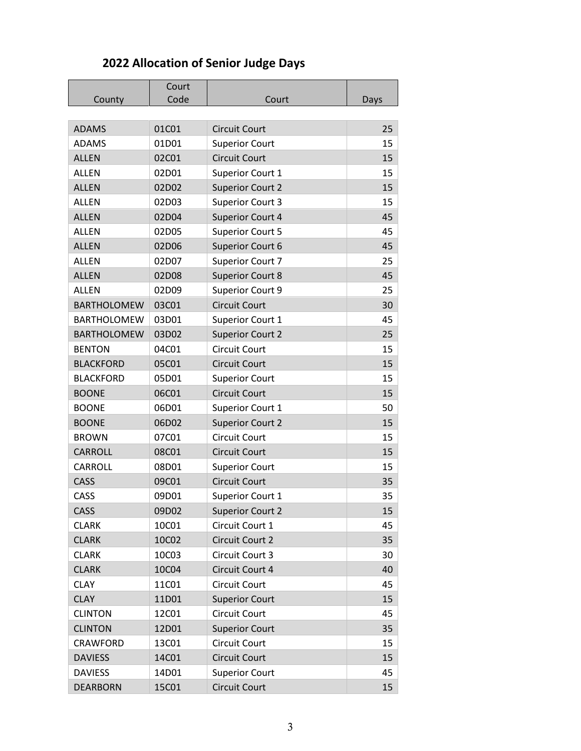## **2022 Allocation of Senior Judge Days**

|  |                    | Court<br>Code |                         |      |
|--|--------------------|---------------|-------------------------|------|
|  | County             |               | Court                   | Days |
|  | <b>ADAMS</b>       | 01C01         | <b>Circuit Court</b>    | 25   |
|  | <b>ADAMS</b>       | 01D01         | <b>Superior Court</b>   | 15   |
|  | <b>ALLEN</b>       | 02C01         | <b>Circuit Court</b>    | 15   |
|  | <b>ALLEN</b>       | 02D01         |                         | 15   |
|  | <b>ALLEN</b>       | 02D02         | Superior Court 1        | 15   |
|  | <b>ALLEN</b>       | 02D03         | <b>Superior Court 2</b> | 15   |
|  | <b>ALLEN</b>       |               | <b>Superior Court 3</b> | 45   |
|  | <b>ALLEN</b>       | 02D04         | <b>Superior Court 4</b> | 45   |
|  |                    | 02D05         | <b>Superior Court 5</b> | 45   |
|  | <b>ALLEN</b>       | 02D06         | Superior Court 6        |      |
|  | <b>ALLEN</b>       | 02D07         | Superior Court 7        | 25   |
|  | <b>ALLEN</b>       | 02D08         | <b>Superior Court 8</b> | 45   |
|  | <b>ALLEN</b>       | 02D09         | Superior Court 9        | 25   |
|  | <b>BARTHOLOMEW</b> | 03C01         | <b>Circuit Court</b>    | 30   |
|  | <b>BARTHOLOMEW</b> | 03D01         | Superior Court 1        | 45   |
|  | <b>BARTHOLOMEW</b> | 03D02         | <b>Superior Court 2</b> | 25   |
|  | <b>BENTON</b>      | 04C01         | <b>Circuit Court</b>    | 15   |
|  | <b>BLACKFORD</b>   | 05C01         | <b>Circuit Court</b>    | 15   |
|  | <b>BLACKFORD</b>   | 05D01         | <b>Superior Court</b>   | 15   |
|  | <b>BOONE</b>       | 06C01         | <b>Circuit Court</b>    | 15   |
|  | <b>BOONE</b>       | 06D01         | Superior Court 1        | 50   |
|  | <b>BOONE</b>       | 06D02         | <b>Superior Court 2</b> | 15   |
|  | <b>BROWN</b>       | 07C01         | <b>Circuit Court</b>    | 15   |
|  | <b>CARROLL</b>     | 08C01         | <b>Circuit Court</b>    | 15   |
|  | CARROLL            | 08D01         | <b>Superior Court</b>   | 15   |
|  | CASS               | 09C01         | <b>Circuit Court</b>    | 35   |
|  | CASS               | 09D01         | Superior Court 1        | 35   |
|  | CASS               | 09D02         | <b>Superior Court 2</b> | 15   |
|  | <b>CLARK</b>       | 10C01         | Circuit Court 1         | 45   |
|  | <b>CLARK</b>       | 10C02         | Circuit Court 2         | 35   |
|  | <b>CLARK</b>       | 10C03         | Circuit Court 3         | 30   |
|  | <b>CLARK</b>       | 10C04         | Circuit Court 4         | 40   |
|  | <b>CLAY</b>        | 11C01         | Circuit Court           | 45   |
|  | <b>CLAY</b>        | 11D01         | <b>Superior Court</b>   | 15   |
|  | <b>CLINTON</b>     | 12C01         | Circuit Court           | 45   |
|  | <b>CLINTON</b>     | 12D01         | <b>Superior Court</b>   | 35   |
|  | CRAWFORD           | 13C01         | Circuit Court           | 15   |
|  | <b>DAVIESS</b>     | 14C01         | Circuit Court           | 15   |
|  | <b>DAVIESS</b>     | 14D01         | <b>Superior Court</b>   | 45   |
|  | <b>DEARBORN</b>    | 15C01         | <b>Circuit Court</b>    | 15   |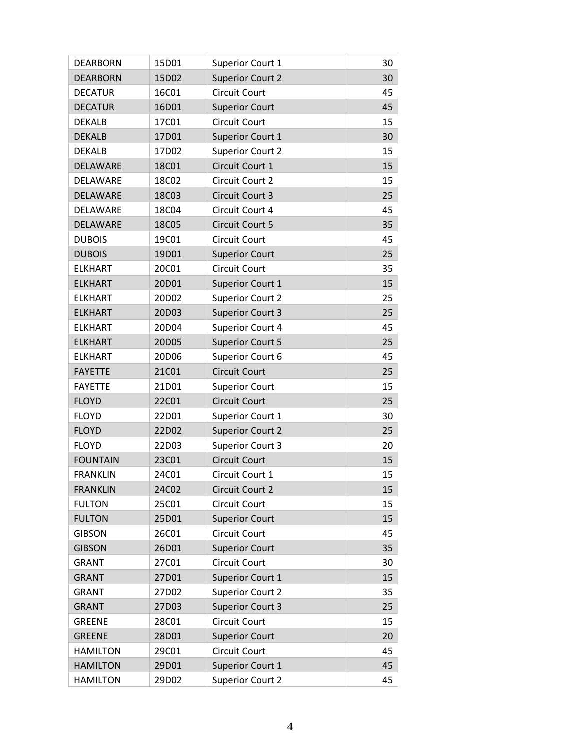| <b>DEARBORN</b> | 15D01 | Superior Court 1        | 30 |
|-----------------|-------|-------------------------|----|
| <b>DEARBORN</b> | 15D02 | <b>Superior Court 2</b> | 30 |
| <b>DECATUR</b>  | 16C01 | <b>Circuit Court</b>    | 45 |
| <b>DECATUR</b>  | 16D01 | <b>Superior Court</b>   | 45 |
| <b>DEKALB</b>   | 17C01 | <b>Circuit Court</b>    | 15 |
| <b>DEKALB</b>   | 17D01 | Superior Court 1        | 30 |
| <b>DEKALB</b>   | 17D02 | <b>Superior Court 2</b> | 15 |
| DELAWARE        | 18C01 | Circuit Court 1         | 15 |
| <b>DELAWARE</b> | 18C02 | Circuit Court 2         | 15 |
| DELAWARE        | 18C03 | Circuit Court 3         | 25 |
| DELAWARE        | 18C04 | Circuit Court 4         | 45 |
| DELAWARE        | 18C05 | Circuit Court 5         | 35 |
| <b>DUBOIS</b>   | 19C01 | <b>Circuit Court</b>    | 45 |
| <b>DUBOIS</b>   | 19D01 | <b>Superior Court</b>   | 25 |
| <b>ELKHART</b>  | 20C01 | <b>Circuit Court</b>    | 35 |
| <b>ELKHART</b>  | 20D01 | Superior Court 1        | 15 |
| <b>ELKHART</b>  | 20D02 | <b>Superior Court 2</b> | 25 |
| <b>ELKHART</b>  | 20D03 | <b>Superior Court 3</b> | 25 |
| <b>ELKHART</b>  | 20D04 | Superior Court 4        | 45 |
| <b>ELKHART</b>  | 20D05 | <b>Superior Court 5</b> | 25 |
| <b>ELKHART</b>  | 20D06 | Superior Court 6        | 45 |
| <b>FAYETTE</b>  | 21C01 | <b>Circuit Court</b>    | 25 |
| <b>FAYETTE</b>  | 21D01 | <b>Superior Court</b>   | 15 |
| <b>FLOYD</b>    | 22C01 | <b>Circuit Court</b>    | 25 |
| <b>FLOYD</b>    | 22D01 | Superior Court 1        | 30 |
| <b>FLOYD</b>    | 22D02 | <b>Superior Court 2</b> | 25 |
| <b>FLOYD</b>    | 22D03 | <b>Superior Court 3</b> | 20 |
| <b>FOUNTAIN</b> | 23C01 | <b>Circuit Court</b>    | 15 |
| <b>FRANKLIN</b> | 24C01 | Circuit Court 1         | 15 |
| <b>FRANKLIN</b> | 24C02 | Circuit Court 2         | 15 |
| <b>FULTON</b>   | 25C01 | <b>Circuit Court</b>    | 15 |
| <b>FULTON</b>   | 25D01 | <b>Superior Court</b>   | 15 |
| <b>GIBSON</b>   | 26C01 | Circuit Court           | 45 |
| <b>GIBSON</b>   | 26D01 | <b>Superior Court</b>   | 35 |
| <b>GRANT</b>    | 27C01 | <b>Circuit Court</b>    | 30 |
| <b>GRANT</b>    | 27D01 | Superior Court 1        | 15 |
| <b>GRANT</b>    | 27D02 | <b>Superior Court 2</b> | 35 |
| <b>GRANT</b>    | 27D03 | <b>Superior Court 3</b> | 25 |
| <b>GREENE</b>   | 28C01 | Circuit Court           | 15 |
| <b>GREENE</b>   | 28D01 | <b>Superior Court</b>   | 20 |
| <b>HAMILTON</b> | 29C01 | <b>Circuit Court</b>    | 45 |
| <b>HAMILTON</b> | 29D01 | Superior Court 1        | 45 |
| <b>HAMILTON</b> | 29D02 | <b>Superior Court 2</b> | 45 |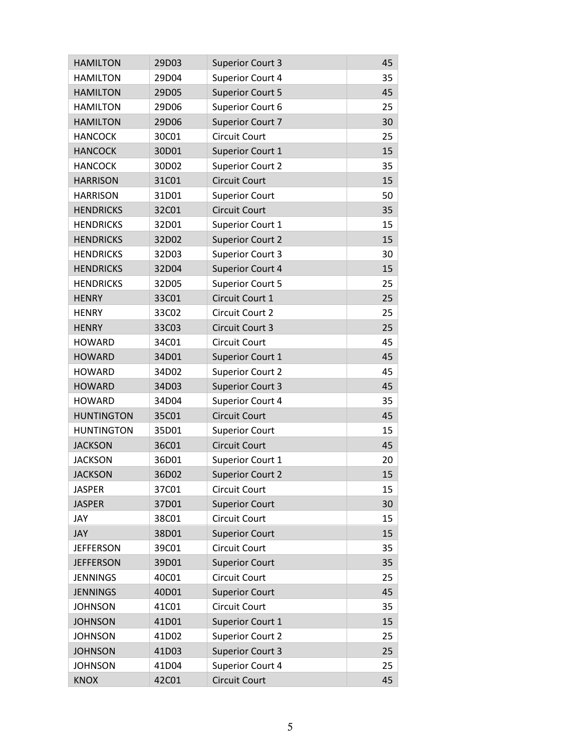| <b>HAMILTON</b>   | 29D03 | <b>Superior Court 3</b> | 45 |
|-------------------|-------|-------------------------|----|
| <b>HAMILTON</b>   | 29D04 | <b>Superior Court 4</b> | 35 |
| <b>HAMILTON</b>   | 29D05 | <b>Superior Court 5</b> | 45 |
| <b>HAMILTON</b>   | 29D06 | Superior Court 6        | 25 |
| <b>HAMILTON</b>   | 29D06 | <b>Superior Court 7</b> | 30 |
| <b>HANCOCK</b>    | 30C01 | <b>Circuit Court</b>    | 25 |
| <b>HANCOCK</b>    | 30D01 | Superior Court 1        | 15 |
| <b>HANCOCK</b>    | 30D02 | <b>Superior Court 2</b> | 35 |
| <b>HARRISON</b>   | 31C01 | <b>Circuit Court</b>    | 15 |
| <b>HARRISON</b>   | 31D01 | <b>Superior Court</b>   | 50 |
| <b>HENDRICKS</b>  | 32C01 | <b>Circuit Court</b>    | 35 |
| <b>HENDRICKS</b>  | 32D01 | Superior Court 1        | 15 |
| <b>HENDRICKS</b>  | 32D02 | <b>Superior Court 2</b> | 15 |
| <b>HENDRICKS</b>  | 32D03 | <b>Superior Court 3</b> | 30 |
| <b>HENDRICKS</b>  | 32D04 | <b>Superior Court 4</b> | 15 |
| <b>HENDRICKS</b>  | 32D05 | <b>Superior Court 5</b> | 25 |
| <b>HENRY</b>      | 33C01 | Circuit Court 1         | 25 |
| <b>HENRY</b>      | 33C02 | Circuit Court 2         | 25 |
| <b>HENRY</b>      | 33C03 | Circuit Court 3         | 25 |
| <b>HOWARD</b>     | 34C01 | <b>Circuit Court</b>    | 45 |
| <b>HOWARD</b>     | 34D01 | Superior Court 1        | 45 |
| <b>HOWARD</b>     | 34D02 | <b>Superior Court 2</b> | 45 |
| <b>HOWARD</b>     | 34D03 | <b>Superior Court 3</b> | 45 |
| <b>HOWARD</b>     | 34D04 | Superior Court 4        | 35 |
| <b>HUNTINGTON</b> | 35C01 | <b>Circuit Court</b>    | 45 |
| <b>HUNTINGTON</b> | 35D01 | <b>Superior Court</b>   | 15 |
| <b>JACKSON</b>    | 36C01 | Circuit Court           | 45 |
| <b>JACKSON</b>    | 36D01 | Superior Court 1        | 20 |
| <b>JACKSON</b>    | 36D02 | <b>Superior Court 2</b> | 15 |
| <b>JASPER</b>     | 37C01 | <b>Circuit Court</b>    | 15 |
| <b>JASPER</b>     | 37D01 | <b>Superior Court</b>   | 30 |
| JAY               | 38C01 | Circuit Court           | 15 |
| <b>JAY</b>        | 38D01 | <b>Superior Court</b>   | 15 |
| <b>JEFFERSON</b>  | 39C01 | Circuit Court           | 35 |
| <b>JEFFERSON</b>  | 39D01 | <b>Superior Court</b>   | 35 |
| <b>JENNINGS</b>   | 40C01 | Circuit Court           | 25 |
| <b>JENNINGS</b>   | 40D01 | <b>Superior Court</b>   | 45 |
| <b>JOHNSON</b>    | 41C01 | <b>Circuit Court</b>    | 35 |
| <b>JOHNSON</b>    | 41D01 | Superior Court 1        | 15 |
| <b>JOHNSON</b>    | 41D02 | <b>Superior Court 2</b> | 25 |
| <b>JOHNSON</b>    | 41D03 | <b>Superior Court 3</b> | 25 |
| <b>JOHNSON</b>    | 41D04 | <b>Superior Court 4</b> | 25 |
| <b>KNOX</b>       | 42C01 | <b>Circuit Court</b>    | 45 |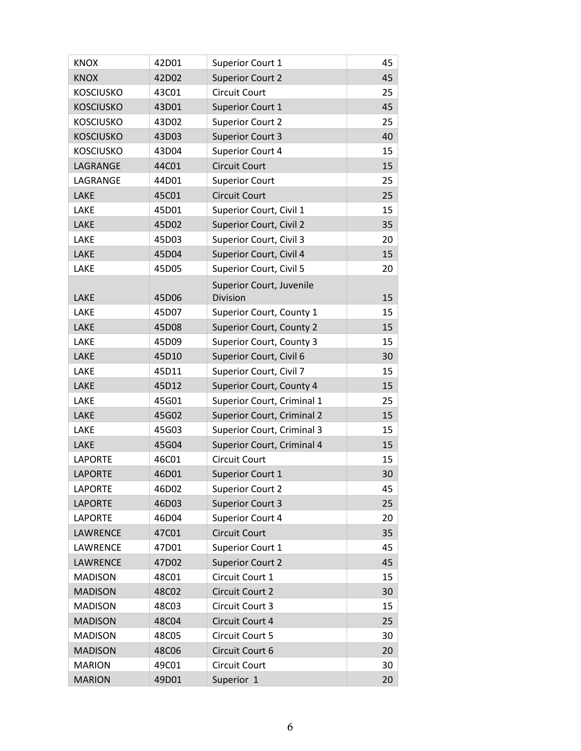| <b>KNOX</b>      | 42D01 | Superior Court 1                  | 45 |
|------------------|-------|-----------------------------------|----|
| <b>KNOX</b>      | 42D02 | <b>Superior Court 2</b>           | 45 |
| <b>KOSCIUSKO</b> | 43C01 | Circuit Court                     | 25 |
| <b>KOSCIUSKO</b> | 43D01 | Superior Court 1                  | 45 |
| <b>KOSCIUSKO</b> | 43D02 | <b>Superior Court 2</b>           | 25 |
| <b>KOSCIUSKO</b> | 43D03 | <b>Superior Court 3</b>           | 40 |
| <b>KOSCIUSKO</b> | 43D04 | Superior Court 4                  | 15 |
| LAGRANGE         | 44C01 | Circuit Court                     | 15 |
| LAGRANGE         | 44D01 | <b>Superior Court</b>             | 25 |
| LAKE             | 45C01 | Circuit Court                     | 25 |
| <b>LAKE</b>      | 45D01 | Superior Court, Civil 1           | 15 |
| LAKE             | 45D02 | Superior Court, Civil 2           | 35 |
| LAKE             | 45D03 | Superior Court, Civil 3           | 20 |
| LAKE             | 45D04 | Superior Court, Civil 4           | 15 |
| LAKE             | 45D05 | Superior Court, Civil 5           | 20 |
|                  |       | Superior Court, Juvenile          |    |
| <b>LAKE</b>      | 45D06 | Division                          | 15 |
| <b>LAKE</b>      | 45D07 | Superior Court, County 1          | 15 |
| LAKE             | 45D08 | <b>Superior Court, County 2</b>   | 15 |
| LAKE             | 45D09 | Superior Court, County 3          | 15 |
| LAKE             | 45D10 | Superior Court, Civil 6           | 30 |
| LAKE             | 45D11 | Superior Court, Civil 7           | 15 |
| LAKE             | 45D12 | Superior Court, County 4          | 15 |
| LAKE             | 45G01 | Superior Court, Criminal 1        | 25 |
| LAKE             | 45G02 | <b>Superior Court, Criminal 2</b> | 15 |
| LAKE             | 45G03 | Superior Court, Criminal 3        | 15 |
| LAKE             | 45G04 | Superior Court, Criminal 4        | 15 |
| <b>LAPORTE</b>   | 46C01 | <b>Circuit Court</b>              | 15 |
| <b>LAPORTE</b>   | 46D01 | <b>Superior Court 1</b>           | 30 |
| <b>LAPORTE</b>   | 46D02 | <b>Superior Court 2</b>           | 45 |
| <b>LAPORTE</b>   | 46D03 | <b>Superior Court 3</b>           | 25 |
| <b>LAPORTE</b>   | 46D04 | <b>Superior Court 4</b>           | 20 |
| LAWRENCE         | 47C01 | Circuit Court                     | 35 |
| LAWRENCE         | 47D01 | Superior Court 1                  | 45 |
| LAWRENCE         | 47D02 | <b>Superior Court 2</b>           | 45 |
| <b>MADISON</b>   | 48C01 | Circuit Court 1                   | 15 |
| <b>MADISON</b>   | 48C02 | Circuit Court 2                   | 30 |
| <b>MADISON</b>   | 48C03 | Circuit Court 3                   | 15 |
| <b>MADISON</b>   | 48C04 | Circuit Court 4                   | 25 |
| <b>MADISON</b>   | 48C05 | Circuit Court 5                   | 30 |
| <b>MADISON</b>   | 48C06 | Circuit Court 6                   | 20 |
| <b>MARION</b>    | 49C01 | Circuit Court                     | 30 |
| <b>MARION</b>    | 49D01 | Superior <sub>1</sub>             | 20 |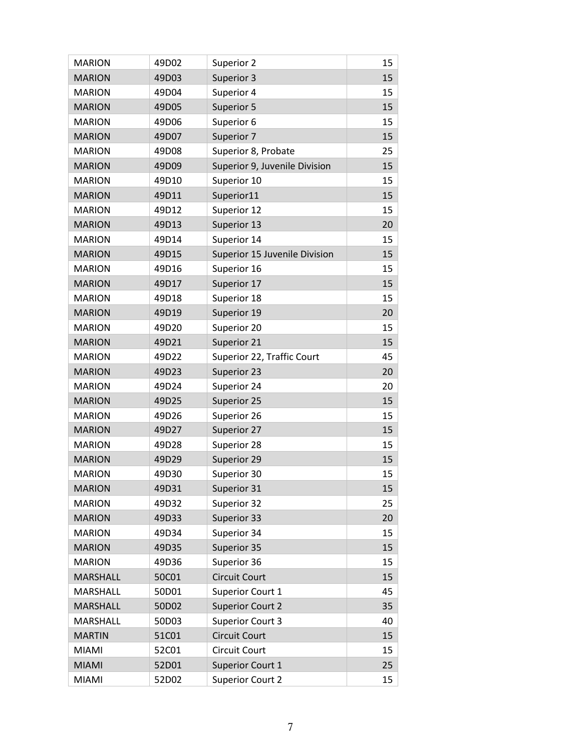| <b>MARION</b>   | 49D02 | Superior 2                    | 15 |
|-----------------|-------|-------------------------------|----|
| <b>MARION</b>   | 49D03 | Superior 3                    | 15 |
| <b>MARION</b>   | 49D04 | Superior 4                    | 15 |
| <b>MARION</b>   | 49D05 | Superior 5                    | 15 |
| <b>MARION</b>   | 49D06 | Superior 6                    | 15 |
| <b>MARION</b>   | 49D07 | Superior 7                    | 15 |
| <b>MARION</b>   | 49D08 | Superior 8, Probate           | 25 |
| <b>MARION</b>   | 49D09 | Superior 9, Juvenile Division | 15 |
| <b>MARION</b>   | 49D10 | Superior 10                   | 15 |
| <b>MARION</b>   | 49D11 | Superior11                    | 15 |
| <b>MARION</b>   | 49D12 | Superior 12                   | 15 |
| <b>MARION</b>   | 49D13 | Superior 13                   | 20 |
| <b>MARION</b>   | 49D14 | Superior 14                   | 15 |
| <b>MARION</b>   | 49D15 | Superior 15 Juvenile Division | 15 |
| <b>MARION</b>   | 49D16 | Superior 16                   | 15 |
| <b>MARION</b>   | 49D17 | Superior 17                   | 15 |
| <b>MARION</b>   | 49D18 | Superior 18                   | 15 |
| <b>MARION</b>   | 49D19 | Superior 19                   | 20 |
| <b>MARION</b>   | 49D20 | Superior 20                   | 15 |
| <b>MARION</b>   | 49D21 | Superior 21                   | 15 |
| <b>MARION</b>   | 49D22 | Superior 22, Traffic Court    | 45 |
| <b>MARION</b>   | 49D23 | Superior 23                   | 20 |
| <b>MARION</b>   | 49D24 | Superior 24                   | 20 |
| <b>MARION</b>   | 49D25 | Superior 25                   | 15 |
| <b>MARION</b>   | 49D26 | Superior 26                   | 15 |
| <b>MARION</b>   | 49D27 | Superior 27                   | 15 |
| <b>MARION</b>   | 49D28 | Superior 28                   | 15 |
| <b>MARION</b>   | 49D29 | Superior 29                   | 15 |
| <b>MARION</b>   | 49D30 | Superior 30                   | 15 |
| <b>MARION</b>   | 49D31 | Superior 31                   | 15 |
| <b>MARION</b>   | 49D32 | Superior 32                   | 25 |
| <b>MARION</b>   | 49D33 | Superior 33                   | 20 |
| <b>MARION</b>   | 49D34 | Superior 34                   | 15 |
| <b>MARION</b>   | 49D35 | Superior 35                   | 15 |
| <b>MARION</b>   | 49D36 | Superior 36                   | 15 |
| MARSHALL        | 50C01 | Circuit Court                 | 15 |
| MARSHALL        | 50D01 | Superior Court 1              | 45 |
| <b>MARSHALL</b> | 50D02 | <b>Superior Court 2</b>       | 35 |
| MARSHALL        | 50D03 | <b>Superior Court 3</b>       | 40 |
| <b>MARTIN</b>   | 51C01 | <b>Circuit Court</b>          | 15 |
| MIAMI           | 52C01 | Circuit Court                 | 15 |
| <b>MIAMI</b>    | 52D01 | Superior Court 1              | 25 |
| <b>MIAMI</b>    | 52D02 | <b>Superior Court 2</b>       | 15 |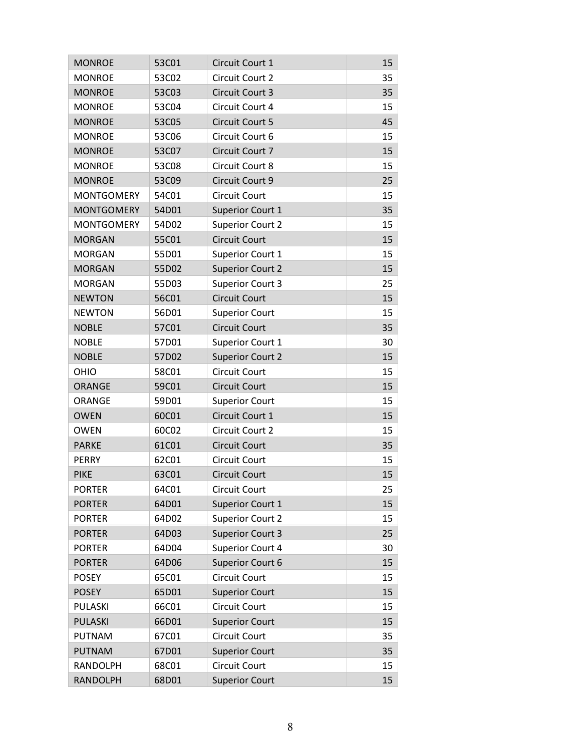| <b>MONROE</b>     | 53C01 | Circuit Court 1         | 15 |
|-------------------|-------|-------------------------|----|
| <b>MONROE</b>     | 53C02 | Circuit Court 2         | 35 |
| <b>MONROE</b>     | 53C03 | Circuit Court 3         | 35 |
| <b>MONROE</b>     | 53C04 | Circuit Court 4         | 15 |
| <b>MONROE</b>     | 53C05 | <b>Circuit Court 5</b>  | 45 |
| <b>MONROE</b>     | 53C06 | Circuit Court 6         | 15 |
| <b>MONROE</b>     | 53C07 | Circuit Court 7         | 15 |
| <b>MONROE</b>     | 53C08 | Circuit Court 8         | 15 |
| <b>MONROE</b>     | 53C09 | Circuit Court 9         | 25 |
| <b>MONTGOMERY</b> | 54C01 | Circuit Court           | 15 |
| <b>MONTGOMERY</b> | 54D01 | Superior Court 1        | 35 |
| <b>MONTGOMERY</b> | 54D02 | <b>Superior Court 2</b> | 15 |
| <b>MORGAN</b>     | 55C01 | <b>Circuit Court</b>    | 15 |
| <b>MORGAN</b>     | 55D01 | Superior Court 1        | 15 |
| <b>MORGAN</b>     | 55D02 | <b>Superior Court 2</b> | 15 |
| <b>MORGAN</b>     | 55D03 | <b>Superior Court 3</b> | 25 |
| <b>NEWTON</b>     | 56C01 | <b>Circuit Court</b>    | 15 |
| <b>NEWTON</b>     | 56D01 | <b>Superior Court</b>   | 15 |
| <b>NOBLE</b>      | 57C01 | <b>Circuit Court</b>    | 35 |
| <b>NOBLE</b>      | 57D01 | Superior Court 1        | 30 |
| <b>NOBLE</b>      | 57D02 | <b>Superior Court 2</b> | 15 |
| <b>OHIO</b>       | 58C01 | Circuit Court           | 15 |
| <b>ORANGE</b>     | 59C01 | <b>Circuit Court</b>    | 15 |
| <b>ORANGE</b>     | 59D01 | <b>Superior Court</b>   | 15 |
| <b>OWEN</b>       | 60C01 | Circuit Court 1         | 15 |
| <b>OWEN</b>       | 60C02 | Circuit Court 2         | 15 |
| <b>PARKE</b>      | 61C01 | <b>Circuit Court</b>    | 35 |
| <b>PERRY</b>      | 62C01 | <b>Circuit Court</b>    | 15 |
| <b>PIKE</b>       | 63C01 | <b>Circuit Court</b>    | 15 |
| <b>PORTER</b>     | 64C01 | Circuit Court           | 25 |
| <b>PORTER</b>     | 64D01 | Superior Court 1        | 15 |
| <b>PORTER</b>     | 64D02 | <b>Superior Court 2</b> | 15 |
| <b>PORTER</b>     | 64D03 | <b>Superior Court 3</b> | 25 |
| <b>PORTER</b>     | 64D04 | Superior Court 4        | 30 |
| <b>PORTER</b>     | 64D06 | Superior Court 6        | 15 |
| <b>POSEY</b>      | 65C01 | Circuit Court           | 15 |
| <b>POSEY</b>      | 65D01 | <b>Superior Court</b>   | 15 |
| PULASKI           | 66C01 | Circuit Court           | 15 |
| <b>PULASKI</b>    | 66D01 | <b>Superior Court</b>   | 15 |
| <b>PUTNAM</b>     | 67C01 | Circuit Court           | 35 |
| <b>PUTNAM</b>     | 67D01 | <b>Superior Court</b>   | 35 |
| <b>RANDOLPH</b>   | 68C01 | Circuit Court           | 15 |
| <b>RANDOLPH</b>   | 68D01 | <b>Superior Court</b>   | 15 |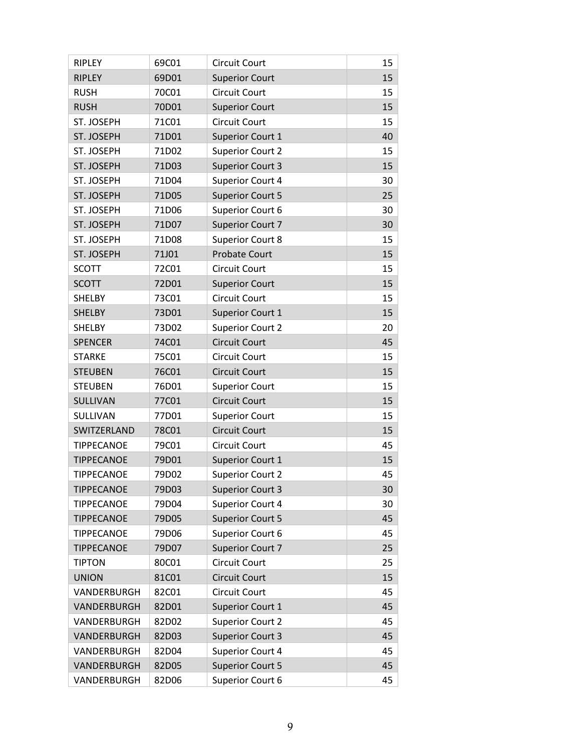| RIPLEY            | 69C01 | <b>Circuit Court</b>    | 15 |
|-------------------|-------|-------------------------|----|
| <b>RIPLEY</b>     | 69D01 | <b>Superior Court</b>   | 15 |
| <b>RUSH</b>       | 70C01 | <b>Circuit Court</b>    | 15 |
| <b>RUSH</b>       | 70D01 | <b>Superior Court</b>   | 15 |
| ST. JOSEPH        | 71C01 | <b>Circuit Court</b>    | 15 |
| ST. JOSEPH        | 71D01 | Superior Court 1        | 40 |
| ST. JOSEPH        | 71D02 | <b>Superior Court 2</b> | 15 |
| ST. JOSEPH        | 71D03 | <b>Superior Court 3</b> | 15 |
| ST. JOSEPH        | 71D04 | Superior Court 4        | 30 |
| ST. JOSEPH        | 71D05 | <b>Superior Court 5</b> | 25 |
| ST. JOSEPH        | 71D06 | Superior Court 6        | 30 |
| ST. JOSEPH        | 71D07 | <b>Superior Court 7</b> | 30 |
| ST. JOSEPH        | 71D08 | Superior Court 8        | 15 |
| ST. JOSEPH        | 71J01 | <b>Probate Court</b>    | 15 |
| <b>SCOTT</b>      | 72C01 | <b>Circuit Court</b>    | 15 |
| <b>SCOTT</b>      | 72D01 | <b>Superior Court</b>   | 15 |
| <b>SHELBY</b>     | 73C01 | <b>Circuit Court</b>    | 15 |
| <b>SHELBY</b>     | 73D01 | Superior Court 1        | 15 |
| SHELBY            | 73D02 | <b>Superior Court 2</b> | 20 |
| <b>SPENCER</b>    | 74C01 | <b>Circuit Court</b>    | 45 |
| <b>STARKE</b>     | 75C01 | <b>Circuit Court</b>    | 15 |
| <b>STEUBEN</b>    | 76C01 | <b>Circuit Court</b>    | 15 |
| <b>STEUBEN</b>    | 76D01 | <b>Superior Court</b>   | 15 |
| SULLIVAN          | 77C01 | <b>Circuit Court</b>    | 15 |
| SULLIVAN          | 77D01 | <b>Superior Court</b>   | 15 |
| SWITZERLAND       | 78C01 | <b>Circuit Court</b>    | 15 |
| <b>TIPPECANOE</b> | 79C01 | Circuit Court           | 45 |
| <b>TIPPECANOE</b> | 79D01 | Superior Court 1        | 15 |
| <b>TIPPECANOE</b> | 79D02 | <b>Superior Court 2</b> | 45 |
| <b>TIPPECANOE</b> | 79D03 | <b>Superior Court 3</b> | 30 |
| <b>TIPPECANOE</b> | 79D04 | Superior Court 4        | 30 |
| <b>TIPPECANOE</b> | 79D05 | <b>Superior Court 5</b> | 45 |
| <b>TIPPECANOE</b> | 79D06 | Superior Court 6        | 45 |
| <b>TIPPECANOE</b> | 79D07 | <b>Superior Court 7</b> | 25 |
| <b>TIPTON</b>     | 80C01 | <b>Circuit Court</b>    | 25 |
| <b>UNION</b>      | 81C01 | <b>Circuit Court</b>    | 15 |
| VANDERBURGH       | 82C01 | <b>Circuit Court</b>    | 45 |
| VANDERBURGH       | 82D01 | Superior Court 1        | 45 |
| VANDERBURGH       | 82D02 | <b>Superior Court 2</b> | 45 |
| VANDERBURGH       | 82D03 | <b>Superior Court 3</b> | 45 |
| VANDERBURGH       | 82D04 | Superior Court 4        | 45 |
| VANDERBURGH       | 82D05 | <b>Superior Court 5</b> | 45 |
| VANDERBURGH       | 82D06 | Superior Court 6        | 45 |